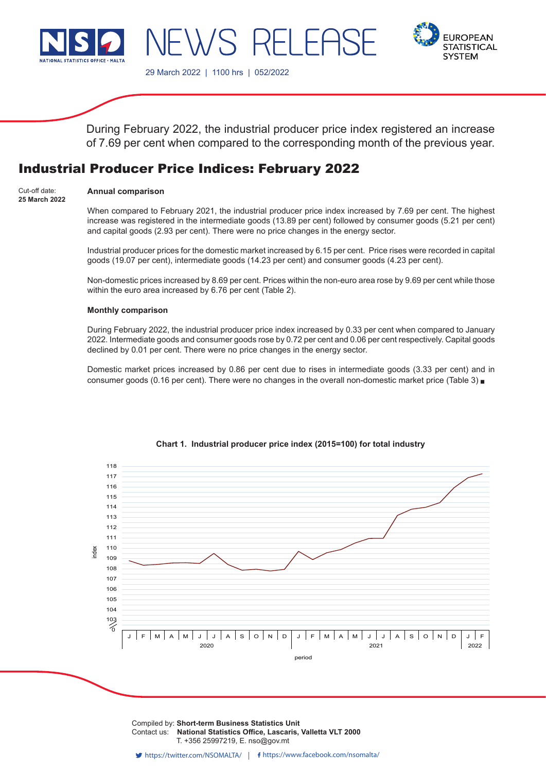



29 March 2022 | 1100 hrs | 052/2022

 $\lambda/S$ 

During February 2022, the industrial producer price index registered an increase of 7.69 per cent when compared to the corresponding month of the previous year.

-1 FF

# Industrial Producer Price Indices: February 2022

## **Annual comparison**

Cut-off date: **25 March 2022**

When compared to February 2021, the industrial producer price index increased by 7.69 per cent. The highest increase was registered in the intermediate goods (13.89 per cent) followed by consumer goods (5.21 per cent) and capital goods (2.93 per cent). There were no price changes in the energy sector.

Industrial producer prices for the domestic market increased by 6.15 per cent. Price rises were recorded in capital goods (19.07 per cent), intermediate goods (14.23 per cent) and consumer goods (4.23 per cent).

Non-domestic prices increased by 8.69 per cent. Prices within the non-euro area rose by 9.69 per cent while those within the euro area increased by 6.76 per cent (Table 2).

#### **Monthly comparison**

During February 2022, the industrial producer price index increased by 0.33 per cent when compared to January 2022. Intermediate goods and consumer goods rose by 0.72 per cent and 0.06 per cent respectively. Capital goods declined by 0.01 per cent. There were no price changes in the energy sector.

Domestic market prices increased by 0.86 per cent due to rises in intermediate goods (3.33 per cent) and in consumer goods (0.16 per cent). There were no changes in the overall non-domestic market price (Table 3)



# **Chart 1. Industrial producer price index (2015=100) for total industry**

Compiled by: Short-term Business Statistics Unit Issued by: **Dissemination Unit, National Statistics Office, Lascaris, Valletta VLT 2000, Malta.** T. +356 25997219, E. nso@gov.mt Contact us: **National Statistics Office, Lascaris, Valletta VLT 2000**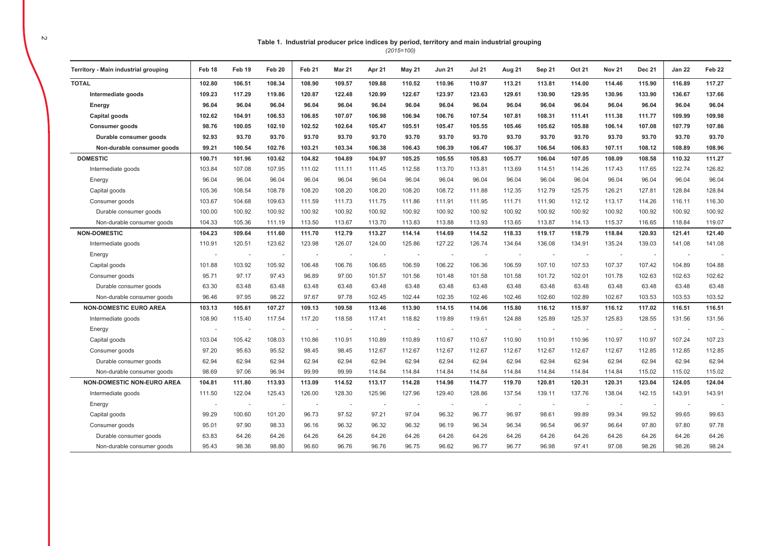## Table 1. Industrial producer price indices by period, territory and main industrial grouping

 $(2015=100)$ 

| Territory - Main industrial grouping | Feb 18 | Feb 19 | Feb 20 | Feb <sub>21</sub> | <b>Mar 21</b> | Apr 21 | <b>May 21</b> | <b>Jun 21</b> | <b>Jul 21</b> | Aug 21 | Sep 21         | <b>Oct 21</b> | <b>Nov 21</b> | <b>Dec 21</b>            | <b>Jan 22</b>            | Feb <sub>22</sub> |
|--------------------------------------|--------|--------|--------|-------------------|---------------|--------|---------------|---------------|---------------|--------|----------------|---------------|---------------|--------------------------|--------------------------|-------------------|
| <b>TOTAL</b>                         | 102.80 | 106.51 | 108.34 | 108.90            | 109.57        | 109.88 | 110.52        | 110.96        | 110.97        | 113.21 | 113.81         | 114.00        | 114.46        | 115.90                   | 116.89                   | 117.27            |
| Intermediate goods                   | 109.23 | 117.29 | 119.86 | 120.87            | 122.48        | 120.99 | 122.67        | 123.97        | 123.63        | 129.61 | 130.90         | 129.95        | 130.96        | 133.90                   | 136.67                   | 137.66            |
| Energy                               | 96.04  | 96.04  | 96.04  | 96.04             | 96.04         | 96.04  | 96.04         | 96.04         | 96.04         | 96.04  | 96.04          | 96.04         | 96.04         | 96.04                    | 96.04                    | 96.04             |
| Capital goods                        | 102.62 | 104.91 | 106.53 | 106.85            | 107.07        | 106.98 | 106.94        | 106.76        | 107.54        | 107.81 | 108.31         | 111.41        | 111.38        | 111.77                   | 109.99                   | 109.98            |
| <b>Consumer goods</b>                | 98.76  | 100.05 | 102.10 | 102.52            | 102.64        | 105.47 | 105.51        | 105.47        | 105.55        | 105.46 | 105.62         | 105.88        | 106.14        | 107.08                   | 107.79                   | 107.86            |
| Durable consumer goods               | 92.93  | 93.70  | 93.70  | 93.70             | 93.70         | 93.70  | 93.70         | 93.70         | 93.70         | 93.70  | 93.70          | 93.70         | 93.70         | 93.70                    | 93.70                    | 93.70             |
| Non-durable consumer goods           | 99.21  | 100.54 | 102.76 | 103.21            | 103.34        | 106.38 | 106.43        | 106.39        | 106.47        | 106.37 | 106.54         | 106.83        | 107.11        | 108.12                   | 108.89                   | 108.96            |
| <b>DOMESTIC</b>                      | 100.71 | 101.96 | 103.62 | 104.82            | 104.89        | 104.97 | 105.25        | 105.55        | 105.83        | 105.77 | 106.04         | 107.05        | 108.09        | 108.58                   | 110.32                   | 111.27            |
| Intermediate goods                   | 103.84 | 107.08 | 107.95 | 111.02            | 111.11        | 111.45 | 112.58        | 113.70        | 113.81        | 113.69 | 114.51         | 114.26        | 117.43        | 117.65                   | 122.74                   | 126.82            |
| Energy                               | 96.04  | 96.04  | 96.04  | 96.04             | 96.04         | 96.04  | 96.04         | 96.04         | 96.04         | 96.04  | 96.04          | 96.04         | 96.04         | 96.04                    | 96.04                    | 96.04             |
| Capital goods                        | 105.36 | 108.54 | 108.78 | 108.20            | 108.20        | 108.20 | 108.20        | 108.72        | 111.88        | 112.35 | 112.79         | 125.75        | 126.21        | 127.81                   | 128.84                   | 128.84            |
| Consumer goods                       | 103.67 | 104.68 | 109.63 | 111.59            | 111.73        | 111.75 | 111.86        | 111.91        | 111.95        | 111.71 | 111.90         | 112.12        | 113.17        | 114.26                   | 116.11                   | 116.30            |
| Durable consumer goods               | 100.00 | 100.92 | 100.92 | 100.92            | 100.92        | 100.92 | 100.92        | 100.92        | 100.92        | 100.92 | 100.92         | 100.92        | 100.92        | 100.92                   | 100.92                   | 100.92            |
| Non-durable consumer goods           | 104.33 | 105.36 | 111.19 | 113.50            | 113.67        | 113.70 | 113.83        | 113.88        | 113.93        | 113.65 | 113.87         | 114.13        | 115.37        | 116.65                   | 118.84                   | 119.07            |
| <b>NON-DOMESTIC</b>                  | 104.23 | 109.64 | 111.60 | 111.70            | 112.79        | 113.27 | 114.14        | 114.69        | 114.52        | 118.33 | 119.17         | 118.79        | 118.84        | 120.93                   | 121.41                   | 121.40            |
| Intermediate goods                   | 110.91 | 120.51 | 123.62 | 123.98            | 126.07        | 124.00 | 125.86        | 127.22        | 126.74        | 134.64 | 136.08         | 134.91        | 135.24        | 139.03                   | 141.08                   | 141.08            |
| Energy                               |        | ÷,     |        | $\sim$            |               |        |               |               |               |        |                |               |               | ÷,                       | $\overline{\phantom{a}}$ |                   |
| Capital goods                        | 101.88 | 103.92 | 105.92 | 106.48            | 106.76        | 106.65 | 106.59        | 106.22        | 106.36        | 106.59 | 107.10         | 107.53        | 107.37        | 107.42                   | 104.89                   | 104.88            |
| Consumer goods                       | 95.71  | 97.17  | 97.43  | 96.89             | 97.00         | 101.57 | 101.56        | 101.48        | 101.58        | 101.58 | 101.72         | 102.01        | 101.78        | 102.63                   | 102.63                   | 102.62            |
| Durable consumer goods               | 63.30  | 63.48  | 63.48  | 63.48             | 63.48         | 63.48  | 63.48         | 63.48         | 63.48         | 63.48  | 63.48          | 63.48         | 63.48         | 63.48                    | 63.48                    | 63.48             |
| Non-durable consumer goods           | 96.46  | 97.95  | 98.22  | 97.67             | 97.78         | 102.45 | 102.44        | 102.35        | 102.46        | 102.46 | 102.60         | 102.89        | 102.67        | 103.53                   | 103.53                   | 103.52            |
| <b>NON-DOMESTIC EURO AREA</b>        | 103.13 | 105.61 | 107.27 | 109.13            | 109.58        | 113.46 | 113.90        | 114.15        | 114.06        | 115.80 | 116.12         | 115.97        | 116.12        | 117.02                   | 116.51                   | 116.51            |
| Intermediate goods                   | 108.90 | 115.40 | 117.54 | 117.20            | 118.58        | 117.41 | 118.82        | 119.89        | 119.61        | 124.88 | 125.89         | 125.37        | 125.83        | 128.55                   | 131.56                   | 131.56            |
| Energy                               |        | $\sim$ | $\sim$ |                   |               |        |               |               |               |        | $\overline{a}$ | ÷,            |               | $\overline{\phantom{a}}$ | $\overline{a}$           |                   |
| Capital goods                        | 103.04 | 105.42 | 108.03 | 110.86            | 110.91        | 110.89 | 110.89        | 110.67        | 110.67        | 110.90 | 110.91         | 110.96        | 110.97        | 110.97                   | 107.24                   | 107.23            |
| Consumer goods                       | 97.20  | 95.63  | 95.52  | 98.45             | 98.45         | 112.67 | 112.67        | 112.67        | 112.67        | 112.67 | 112.67         | 112.67        | 112.67        | 112.85                   | 112.85                   | 112.85            |
| Durable consumer goods               | 62.94  | 62.94  | 62.94  | 62.94             | 62.94         | 62.94  | 62.94         | 62.94         | 62.94         | 62.94  | 62.94          | 62.94         | 62.94         | 62.94                    | 62.94                    | 62.94             |
| Non-durable consumer goods           | 98.69  | 97.06  | 96.94  | 99.99             | 99.99         | 114.84 | 114.84        | 114.84        | 114.84        | 114.84 | 114.84         | 114.84        | 114.84        | 115.02                   | 115.02                   | 115.02            |
| <b>NON-DOMESTIC NON-EURO AREA</b>    | 104.81 | 111.80 | 113.93 | 113.09            | 114.52        | 113.17 | 114.28        | 114.98        | 114.77        | 119.70 | 120.81         | 120.31        | 120.31        | 123.04                   | 124.05                   | 124.04            |
| Intermediate goods                   | 111.50 | 122.04 | 125.43 | 126.00            | 128.30        | 125.96 | 127.96        | 129.40        | 128.86        | 137.54 | 139.11         | 137.76        | 138.04        | 142.15                   | 143.91                   | 143.91            |
| Energy                               |        |        |        |                   |               |        |               |               |               |        |                |               |               |                          |                          |                   |
| Capital goods                        | 99.29  | 100.60 | 101.20 | 96.73             | 97.52         | 97.21  | 97.04         | 96.32         | 96.77         | 96.97  | 98.61          | 99.89         | 99.34         | 99.52                    | 99.65                    | 99.63             |
| Consumer goods                       | 95.01  | 97.90  | 98.33  | 96.16             | 96.32         | 96.32  | 96.32         | 96.19         | 96.34         | 96.34  | 96.54          | 96.97         | 96.64         | 97.80                    | 97.80                    | 97.78             |
| Durable consumer goods               | 63.83  | 64.26  | 64.26  | 64.26             | 64.26         | 64.26  | 64.26         | 64.26         | 64.26         | 64.26  | 64.26          | 64.26         | 64.26         | 64.26                    | 64.26                    | 64.26             |
| Non-durable consumer goods           | 95.43  | 98.36  | 98.80  | 96.60             | 96.76         | 96.76  | 96.75         | 96.62         | 96.77         | 96.77  | 96.98          | 97.41         | 97.08         | 98.26                    | 98.26                    | 98.24             |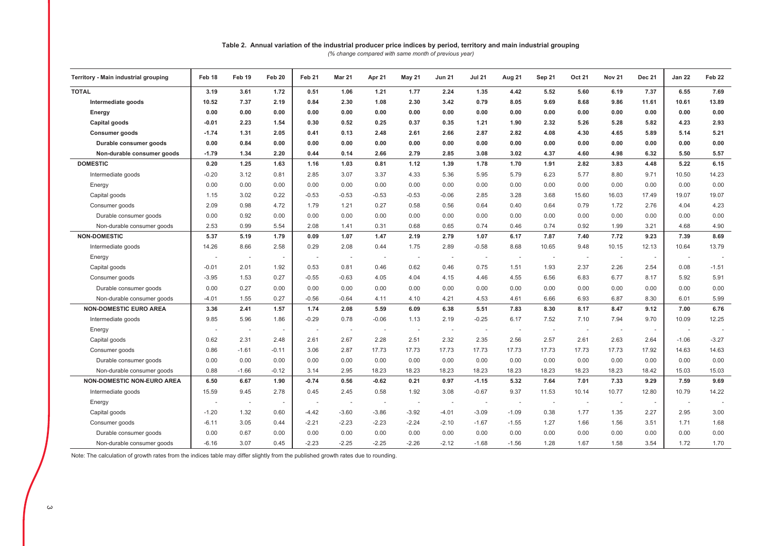# Table 2. Annual variation of the industrial producer price indices by period, territory and main industrial grouping

(% change compared with same month of previous year)

| Territory - Main industrial grouping | Feb 18                   | Feb 19                   | Feb 20  | Feb 21                   | <b>Mar 21</b>            | Apr 21                   | <b>May 21</b>            | <b>Jun 21</b>            | <b>Jul 21</b>            | Aug 21                   | Sep 21                   | Oct 21                   | <b>Nov 21</b>            | <b>Dec 21</b> | <b>Jan 22</b>            | Feb 22  |
|--------------------------------------|--------------------------|--------------------------|---------|--------------------------|--------------------------|--------------------------|--------------------------|--------------------------|--------------------------|--------------------------|--------------------------|--------------------------|--------------------------|---------------|--------------------------|---------|
| <b>TOTAL</b>                         | 3.19                     | 3.61                     | 1.72    | 0.51                     | 1.06                     | 1.21                     | 1.77                     | 2.24                     | 1.35                     | 4.42                     | 5.52                     | 5.60                     | 6.19                     | 7.37          | 6.55                     | 7.69    |
| Intermediate goods                   | 10.52                    | 7.37                     | 2.19    | 0.84                     | 2.30                     | 1.08                     | 2.30                     | 3.42                     | 0.79                     | 8.05                     | 9.69                     | 8.68                     | 9.86                     | 11.61         | 10.61                    | 13.89   |
| Energy                               | 0.00                     | 0.00                     | 0.00    | 0.00                     | 0.00                     | 0.00                     | 0.00                     | 0.00                     | 0.00                     | 0.00                     | 0.00                     | 0.00                     | 0.00                     | 0.00          | 0.00                     | 0.00    |
| Capital goods                        | $-0.01$                  | 2.23                     | 1.54    | 0.30                     | 0.52                     | 0.25                     | 0.37                     | 0.35                     | 1.21                     | 1.90                     | 2.32                     | 5.26                     | 5.28                     | 5.82          | 4.23                     | 2.93    |
| <b>Consumer goods</b>                | $-1.74$                  | 1.31                     | 2.05    | 0.41                     | 0.13                     | 2.48                     | 2.61                     | 2.66                     | 2.87                     | 2.82                     | 4.08                     | 4.30                     | 4.65                     | 5.89          | 5.14                     | 5.21    |
| Durable consumer goods               | 0.00                     | 0.84                     | 0.00    | 0.00                     | 0.00                     | 0.00                     | 0.00                     | 0.00                     | 0.00                     | 0.00                     | 0.00                     | 0.00                     | 0.00                     | 0.00          | 0.00                     | 0.00    |
| Non-durable consumer goods           | $-1.79$                  | 1.34                     | 2.20    | 0.44                     | 0.14                     | 2.66                     | 2.79                     | 2.85                     | 3.08                     | 3.02                     | 4.37                     | 4.60                     | 4.98                     | 6.32          | 5.50                     | 5.57    |
| <b>DOMESTIC</b>                      | 0.20                     | 1.25                     | 1.63    | 1.16                     | 1.03                     | 0.81                     | 1.12                     | 1.39                     | 1.78                     | 1.70                     | 1.91                     | 2.82                     | 3.83                     | 4.48          | 5.22                     | 6.15    |
| Intermediate goods                   | $-0.20$                  | 3.12                     | 0.81    | 2.85                     | 3.07                     | 3.37                     | 4.33                     | 5.36                     | 5.95                     | 5.79                     | 6.23                     | 5.77                     | 8.80                     | 9.71          | 10.50                    | 14.23   |
| Energy                               | 0.00                     | 0.00                     | 0.00    | 0.00                     | 0.00                     | 0.00                     | 0.00                     | 0.00                     | 0.00                     | 0.00                     | 0.00                     | 0.00                     | 0.00                     | 0.00          | 0.00                     | 0.00    |
| Capital goods                        | 1.15                     | 3.02                     | 0.22    | $-0.53$                  | $-0.53$                  | $-0.53$                  | $-0.53$                  | $-0.06$                  | 2.85                     | 3.28                     | 3.68                     | 15.60                    | 16.03                    | 17.49         | 19.07                    | 19.07   |
| Consumer goods                       | 2.09                     | 0.98                     | 4.72    | 1.79                     | 1.21                     | 0.27                     | 0.58                     | 0.56                     | 0.64                     | 0.40                     | 0.64                     | 0.79                     | 1.72                     | 2.76          | 4.04                     | 4.23    |
| Durable consumer goods               | 0.00                     | 0.92                     | 0.00    | 0.00                     | 0.00                     | 0.00                     | 0.00                     | 0.00                     | 0.00                     | 0.00                     | 0.00                     | 0.00                     | 0.00                     | 0.00          | 0.00                     | 0.00    |
| Non-durable consumer goods           | 2.53                     | 0.99                     | 5.54    | 2.08                     | 1.41                     | 0.31                     | 0.68                     | 0.65                     | 0.74                     | 0.46                     | 0.74                     | 0.92                     | 1.99                     | 3.21          | 4.68                     | 4.90    |
| <b>NON-DOMESTIC</b>                  | 5.37                     | 5.19                     | 1.79    | 0.09                     | 1.07                     | 1.47                     | 2.19                     | 2.79                     | 1.07                     | 6.17                     | 7.87                     | 7.40                     | 7.72                     | 9.23          | 7.39                     | 8.69    |
| Intermediate goods                   | 14.26                    | 8.66                     | 2.58    | 0.29                     | 2.08                     | 0.44                     | 1.75                     | 2.89                     | $-0.58$                  | 8.68                     | 10.65                    | 9.48                     | 10.15                    | 12.13         | 10.64                    | 13.79   |
| Energy                               | $\overline{\phantom{a}}$ | $\sim$                   | $\sim$  | $\overline{\phantom{a}}$ | $\overline{\phantom{a}}$ | $\sim$                   | $\sim$                   | $\sim$                   | $\overline{\phantom{a}}$ | $\sim$                   | $\sim$                   | $\sim$                   | $\overline{\phantom{a}}$ | $\sim$        | $\sim$                   |         |
| Capital goods                        | $-0.01$                  | 2.01                     | 1.92    | 0.53                     | 0.81                     | 0.46                     | 0.62                     | 0.46                     | 0.75                     | 1.51                     | 1.93                     | 2.37                     | 2.26                     | 2.54          | 0.08                     | $-1.51$ |
| Consumer goods                       | $-3.95$                  | 1.53                     | 0.27    | $-0.55$                  | $-0.63$                  | 4.05                     | 4.04                     | 4.15                     | 4.46                     | 4.55                     | 6.56                     | 6.83                     | 6.77                     | 8.17          | 5.92                     | 5.91    |
| Durable consumer goods               | 0.00                     | 0.27                     | 0.00    | 0.00                     | 0.00                     | 0.00                     | 0.00                     | 0.00                     | 0.00                     | 0.00                     | 0.00                     | 0.00                     | 0.00                     | 0.00          | 0.00                     | 0.00    |
| Non-durable consumer goods           | $-4.01$                  | 1.55                     | 0.27    | $-0.56$                  | $-0.64$                  | 4.11                     | 4.10                     | 4.21                     | 4.53                     | 4.61                     | 6.66                     | 6.93                     | 6.87                     | 8.30          | 6.01                     | 5.99    |
| <b>NON-DOMESTIC EURO AREA</b>        | 3.36                     | 2.41                     | 1.57    | 1.74                     | 2.08                     | 5.59                     | 6.09                     | 6.38                     | 5.51                     | 7.83                     | 8.30                     | 8.17                     | 8.47                     | 9.12          | 7.00                     | 6.76    |
| Intermediate goods                   | 9.85                     | 5.96                     | 1.86    | $-0.29$                  | 0.78                     | $-0.06$                  | 1.13                     | 2.19                     | $-0.25$                  | 6.17                     | 7.52                     | 7.10                     | 7.94                     | 9.70          | 10.09                    | 12.25   |
| Energy                               | . .                      | $\overline{\phantom{a}}$ | $\sim$  |                          | $\overline{\phantom{a}}$ | $\overline{\phantom{a}}$ | $\overline{\phantom{a}}$ | $\overline{\phantom{a}}$ | $\overline{\phantom{a}}$ | $\overline{\phantom{a}}$ | $\overline{\phantom{a}}$ | $\sim$                   | $\overline{\phantom{a}}$ | $\sim$        | $\overline{\phantom{a}}$ |         |
| Capital goods                        | 0.62                     | 2.31                     | 2.48    | 2.61                     | 2.67                     | 2.28                     | 2.51                     | 2.32                     | 2.35                     | 2.56                     | 2.57                     | 2.61                     | 2.63                     | 2.64          | $-1.06$                  | $-3.27$ |
| Consumer goods                       | 0.86                     | $-1.61$                  | $-0.11$ | 3.06                     | 2.87                     | 17.73                    | 17.73                    | 17.73                    | 17.73                    | 17.73                    | 17.73                    | 17.73                    | 17.73                    | 17.92         | 14.63                    | 14.63   |
| Durable consumer goods               | 0.00                     | 0.00                     | 0.00    | 0.00                     | 0.00                     | 0.00                     | 0.00                     | 0.00                     | 0.00                     | 0.00                     | 0.00                     | 0.00                     | 0.00                     | 0.00          | 0.00                     | 0.00    |
| Non-durable consumer goods           | 0.88                     | $-1.66$                  | $-0.12$ | 3.14                     | 2.95                     | 18.23                    | 18.23                    | 18.23                    | 18.23                    | 18.23                    | 18.23                    | 18.23                    | 18.23                    | 18.42         | 15.03                    | 15.03   |
| NON-DOMESTIC NON-EURO AREA           | 6.50                     | 6.67                     | 1.90    | $-0.74$                  | 0.56                     | $-0.62$                  | 0.21                     | 0.97                     | $-1.15$                  | 5.32                     | 7.64                     | 7.01                     | 7.33                     | 9.29          | 7.59                     | 9.69    |
| Intermediate goods                   | 15.59                    | 9.45                     | 2.78    | 0.45                     | 2.45                     | 0.58                     | 1.92                     | 3.08                     | $-0.67$                  | 9.37                     | 11.53                    | 10.14                    | 10.77                    | 12.80         | 10.79                    | 14.22   |
| Energy                               | $\overline{\phantom{a}}$ | $\sim$                   | $\sim$  | $\overline{\phantom{a}}$ | $\overline{\phantom{a}}$ | $\sim$                   | $\sim$                   |                          | $\overline{\phantom{a}}$ | $\overline{\phantom{a}}$ | $\overline{\phantom{a}}$ | $\overline{\phantom{a}}$ | $\overline{\phantom{a}}$ | $\sim$        | $\sim$                   |         |
| Capital goods                        | $-1.20$                  | 1.32                     | 0.60    | $-4.42$                  | $-3.60$                  | $-3.86$                  | $-3.92$                  | $-4.01$                  | $-3.09$                  | $-1.09$                  | 0.38                     | 1.77                     | 1.35                     | 2.27          | 2.95                     | 3.00    |
| Consumer goods                       | $-6.11$                  | 3.05                     | 0.44    | $-2.21$                  | $-2.23$                  | $-2.23$                  | $-2.24$                  | $-2.10$                  | $-1.67$                  | $-1.55$                  | 1.27                     | 1.66                     | 1.56                     | 3.51          | 1.71                     | 1.68    |
| Durable consumer goods               | 0.00                     | 0.67                     | 0.00    | 0.00                     | 0.00                     | 0.00                     | 0.00                     | 0.00                     | 0.00                     | 0.00                     | 0.00                     | 0.00                     | 0.00                     | 0.00          | 0.00                     | 0.00    |
| Non-durable consumer goods           | $-6.16$                  | 3.07                     | 0.45    | $-2.23$                  | $-2.25$                  | $-2.25$                  | $-2.26$                  | $-2.12$                  | $-1.68$                  | $-1.56$                  | 1.28                     | 1.67                     | 1.58                     | 3.54          | 1.72                     | 1.70    |

Note: The calculation of growth rates from the indices table may differ slightly from the published growth rates due to rounding.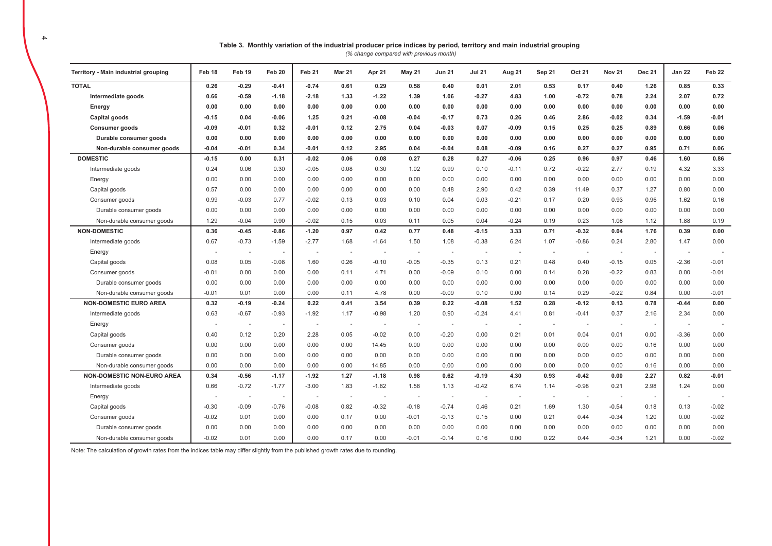| Table 3. Monthly variation of the industrial producer price indices by period, territory and main industrial grouping |
|-----------------------------------------------------------------------------------------------------------------------|
| $(0)$ change compared with provious month)                                                                            |

(% change compared with previous month)

| Territory - Main industrial grouping | Feb 18                   | Feb 19                   | Feb 20  | Feb 21                   | Mar 21 | Apr 21                   | <b>May 21</b>            | <b>Jun 21</b>            | <b>Jul 21</b>            | Aug 21  | Sep 21 | Oct 21                   | <b>Nov 21</b>            | <b>Dec 21</b> | <b>Jan 22</b>            | Feb 22  |
|--------------------------------------|--------------------------|--------------------------|---------|--------------------------|--------|--------------------------|--------------------------|--------------------------|--------------------------|---------|--------|--------------------------|--------------------------|---------------|--------------------------|---------|
| <b>TOTAL</b>                         | 0.26                     | $-0.29$                  | $-0.41$ | $-0.74$                  | 0.61   | 0.29                     | 0.58                     | 0.40                     | 0.01                     | 2.01    | 0.53   | 0.17                     | 0.40                     | 1.26          | 0.85                     | 0.33    |
| Intermediate goods                   | 0.66                     | $-0.59$                  | $-1.18$ | $-2.18$                  | 1.33   | $-1.22$                  | 1.39                     | 1.06                     | $-0.27$                  | 4.83    | 1.00   | $-0.72$                  | 0.78                     | 2.24          | 2.07                     | 0.72    |
| Energy                               | 0.00                     | 0.00                     | 0.00    | 0.00                     | 0.00   | 0.00                     | 0.00                     | 0.00                     | 0.00                     | 0.00    | 0.00   | 0.00                     | 0.00                     | 0.00          | 0.00                     | 0.00    |
| Capital goods                        | $-0.15$                  | 0.04                     | $-0.06$ | 1.25                     | 0.21   | $-0.08$                  | $-0.04$                  | $-0.17$                  | 0.73                     | 0.26    | 0.46   | 2.86                     | $-0.02$                  | 0.34          | $-1.59$                  | $-0.01$ |
| Consumer goods                       | $-0.09$                  | $-0.01$                  | 0.32    | $-0.01$                  | 0.12   | 2.75                     | 0.04                     | $-0.03$                  | 0.07                     | $-0.09$ | 0.15   | 0.25                     | 0.25                     | 0.89          | 0.66                     | 0.06    |
| Durable consumer goods               | 0.00                     | 0.00                     | 0.00    | 0.00                     | 0.00   | 0.00                     | 0.00                     | 0.00                     | 0.00                     | 0.00    | 0.00   | 0.00                     | 0.00                     | 0.00          | 0.00                     | 0.00    |
| Non-durable consumer goods           | $-0.04$                  | $-0.01$                  | 0.34    | $-0.01$                  | 0.12   | 2.95                     | 0.04                     | $-0.04$                  | 0.08                     | $-0.09$ | 0.16   | 0.27                     | 0.27                     | 0.95          | 0.71                     | 0.06    |
| <b>DOMESTIC</b>                      | $-0.15$                  | 0.00                     | 0.31    | $-0.02$                  | 0.06   | 0.08                     | 0.27                     | 0.28                     | 0.27                     | $-0.06$ | 0.25   | 0.96                     | 0.97                     | 0.46          | 1.60                     | 0.86    |
| Intermediate goods                   | 0.24                     | 0.06                     | 0.30    | $-0.05$                  | 0.08   | 0.30                     | 1.02                     | 0.99                     | 0.10                     | $-0.11$ | 0.72   | $-0.22$                  | 2.77                     | 0.19          | 4.32                     | 3.33    |
| Energy                               | 0.00                     | 0.00                     | 0.00    | 0.00                     | 0.00   | 0.00                     | 0.00                     | 0.00                     | 0.00                     | 0.00    | 0.00   | 0.00                     | 0.00                     | 0.00          | 0.00                     | 0.00    |
| Capital goods                        | 0.57                     | 0.00                     | 0.00    | 0.00                     | 0.00   | 0.00                     | 0.00                     | 0.48                     | 2.90                     | 0.42    | 0.39   | 11.49                    | 0.37                     | 1.27          | 0.80                     | 0.00    |
| Consumer goods                       | 0.99                     | $-0.03$                  | 0.77    | $-0.02$                  | 0.13   | 0.03                     | 0.10                     | 0.04                     | 0.03                     | $-0.21$ | 0.17   | 0.20                     | 0.93                     | 0.96          | 1.62                     | 0.16    |
| Durable consumer goods               | 0.00                     | 0.00                     | 0.00    | 0.00                     | 0.00   | 0.00                     | 0.00                     | 0.00                     | 0.00                     | 0.00    | 0.00   | 0.00                     | 0.00                     | 0.00          | 0.00                     | 0.00    |
| Non-durable consumer goods           | 1.29                     | $-0.04$                  | 0.90    | $-0.02$                  | 0.15   | 0.03                     | 0.11                     | 0.05                     | 0.04                     | $-0.24$ | 0.19   | 0.23                     | 1.08                     | 1.12          | 1.88                     | 0.19    |
| <b>NON-DOMESTIC</b>                  | 0.36                     | $-0.45$                  | $-0.86$ | $-1.20$                  | 0.97   | 0.42                     | 0.77                     | 0.48                     | $-0.15$                  | 3.33    | 0.71   | $-0.32$                  | 0.04                     | 1.76          | 0.39                     | 0.00    |
| Intermediate goods                   | 0.67                     | $-0.73$                  | $-1.59$ | $-2.77$                  | 1.68   | $-1.64$                  | 1.50                     | 1.08                     | $-0.38$                  | 6.24    | 1.07   | $-0.86$                  | 0.24                     | 2.80          | 1.47                     | 0.00    |
| Energy                               | $\overline{\phantom{a}}$ | $\overline{\phantom{a}}$ | $\sim$  | $\overline{a}$           | $\sim$ | $\sim$                   | $\sim$                   | $\overline{a}$           | $\overline{\phantom{a}}$ | $\sim$  | $\sim$ | $\overline{\phantom{a}}$ | $\sim$                   | $\sim$        | $\overline{\phantom{a}}$ |         |
| Capital goods                        | 0.08                     | 0.05                     | $-0.08$ | 1.60                     | 0.26   | $-0.10$                  | $-0.05$                  | $-0.35$                  | 0.13                     | 0.21    | 0.48   | 0.40                     | $-0.15$                  | 0.05          | $-2.36$                  | $-0.01$ |
| Consumer goods                       | $-0.01$                  | 0.00                     | 0.00    | 0.00                     | 0.11   | 4.71                     | 0.00                     | $-0.09$                  | 0.10                     | 0.00    | 0.14   | 0.28                     | $-0.22$                  | 0.83          | 0.00                     | $-0.01$ |
| Durable consumer goods               | 0.00                     | 0.00                     | 0.00    | 0.00                     | 0.00   | 0.00                     | 0.00                     | 0.00                     | 0.00                     | 0.00    | 0.00   | 0.00                     | 0.00                     | 0.00          | 0.00                     | 0.00    |
| Non-durable consumer goods           | $-0.01$                  | 0.01                     | 0.00    | 0.00                     | 0.11   | 4.78                     | 0.00                     | $-0.09$                  | 0.10                     | 0.00    | 0.14   | 0.29                     | $-0.22$                  | 0.84          | 0.00                     | $-0.01$ |
| <b>NON-DOMESTIC EURO AREA</b>        | 0.32                     | $-0.19$                  | $-0.24$ | 0.22                     | 0.41   | 3.54                     | 0.39                     | 0.22                     | $-0.08$                  | 1.52    | 0.28   | $-0.12$                  | 0.13                     | 0.78          | $-0.44$                  | 0.00    |
| Intermediate goods                   | 0.63                     | $-0.67$                  | $-0.93$ | $-1.92$                  | 1.17   | $-0.98$                  | 1.20                     | 0.90                     | $-0.24$                  | 4.41    | 0.81   | $-0.41$                  | 0.37                     | 2.16          | 2.34                     | 0.00    |
| Energy                               | $\overline{\phantom{a}}$ |                          | $\sim$  | $\overline{\phantom{a}}$ | $\sim$ | $\sim$                   | $\sim$                   | $\overline{\phantom{a}}$ | $\overline{\phantom{a}}$ | $\sim$  | $\sim$ | $\sim$                   | $\overline{\phantom{a}}$ | $\sim$        | $\overline{\phantom{a}}$ |         |
| Capital goods                        | 0.40                     | 0.12                     | 0.20    | 2.28                     | 0.05   | $-0.02$                  | 0.00                     | $-0.20$                  | 0.00                     | 0.21    | 0.01   | 0.04                     | 0.01                     | 0.00          | $-3.36$                  | 0.00    |
| Consumer goods                       | 0.00                     | 0.00                     | 0.00    | 0.00                     | 0.00   | 14.45                    | 0.00                     | 0.00                     | 0.00                     | 0.00    | 0.00   | 0.00                     | 0.00                     | 0.16          | 0.00                     | 0.00    |
| Durable consumer goods               | 0.00                     | 0.00                     | 0.00    | 0.00                     | 0.00   | 0.00                     | 0.00                     | 0.00                     | 0.00                     | 0.00    | 0.00   | 0.00                     | 0.00                     | 0.00          | 0.00                     | 0.00    |
| Non-durable consumer goods           | 0.00                     | 0.00                     | 0.00    | 0.00                     | 0.00   | 14.85                    | 0.00                     | 0.00                     | 0.00                     | 0.00    | 0.00   | 0.00                     | 0.00                     | 0.16          | 0.00                     | 0.00    |
| NON-DOMESTIC NON-EURO AREA           | 0.34                     | $-0.56$                  | $-1.17$ | $-1.92$                  | 1.27   | $-1.18$                  | 0.98                     | 0.62                     | $-0.19$                  | 4.30    | 0.93   | $-0.42$                  | 0.00                     | 2.27          | 0.82                     | $-0.01$ |
| Intermediate goods                   | 0.66                     | $-0.72$                  | $-1.77$ | $-3.00$                  | 1.83   | $-1.82$                  | 1.58                     | 1.13                     | $-0.42$                  | 6.74    | 1.14   | $-0.98$                  | 0.21                     | 2.98          | 1.24                     | 0.00    |
| Energy                               | $\overline{\phantom{a}}$ | $\overline{\phantom{a}}$ | $\sim$  | $\overline{\phantom{a}}$ | $\sim$ | $\overline{\phantom{a}}$ | $\overline{\phantom{a}}$ | $\sim$                   | $\overline{\phantom{a}}$ | $\sim$  | $\sim$ | $\overline{\phantom{a}}$ | $\overline{\phantom{a}}$ | $\sim$        | $\overline{\phantom{a}}$ |         |
| Capital goods                        | $-0.30$                  | $-0.09$                  | $-0.76$ | $-0.08$                  | 0.82   | $-0.32$                  | $-0.18$                  | $-0.74$                  | 0.46                     | 0.21    | 1.69   | 1.30                     | $-0.54$                  | 0.18          | 0.13                     | $-0.02$ |
| Consumer goods                       | $-0.02$                  | 0.01                     | 0.00    | 0.00                     | 0.17   | 0.00                     | $-0.01$                  | $-0.13$                  | 0.15                     | 0.00    | 0.21   | 0.44                     | $-0.34$                  | 1.20          | 0.00                     | $-0.02$ |
| Durable consumer goods               | 0.00                     | 0.00                     | 0.00    | 0.00                     | 0.00   | 0.00                     | 0.00                     | 0.00                     | 0.00                     | 0.00    | 0.00   | 0.00                     | 0.00                     | 0.00          | 0.00                     | 0.00    |
| Non-durable consumer goods           | $-0.02$                  | 0.01                     | 0.00    | 0.00                     | 0.17   | 0.00                     | $-0.01$                  | $-0.14$                  | 0.16                     | 0.00    | 0.22   | 0.44                     | $-0.34$                  | 1.21          | 0.00                     | $-0.02$ |

Note: The calculation of growth rates from the indices table may differ slightly from the published growth rates due to rounding.